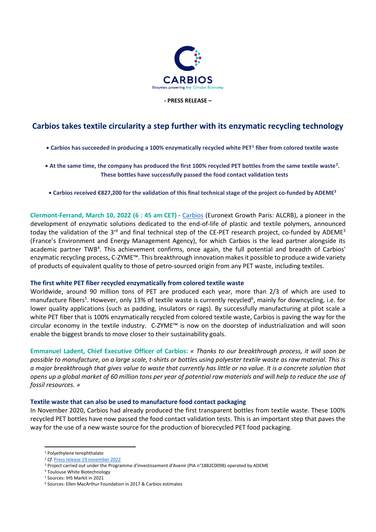

#### **- PRESS RELEASE –**

# **Carbios takes textile circularity a step further with its enzymatic recycling technology**

## • **Carbios has succeeded in producing a 100% enzymatically recycled white PET<sup>1</sup> fiber from colored textile waste**

• **At the same time, the company has produced the first 100% recycled PET bottles from the same textile waste<sup>2</sup> . These bottles have successfully passed the food contact validation tests**

• **Carbios received €827,200 for the validation of this final technical stage of the project co-funded by ADEME<sup>3</sup>**

**Clermont-Ferrand, March 10, 2022 (6 : 45 am CET)** - [Carbios](https://www.carbios.com/en/) (Euronext Growth Paris: ALCRB), a pioneer in the development of enzymatic solutions dedicated to the end-of-life of plastic and textile polymers, announced today the validation of the 3<sup>rd</sup> and final technical step of the CE-PET research project, co-funded by ADEME<sup>3</sup> (France's Environment and Energy Management Agency), for which Carbios is the lead partner alongside its academic partner TWB<sup>4</sup>. This achievement confirms, once again, the full potential and breadth of Carbios' enzymatic recycling process, C-ZYME™. This breakthrough innovation makes it possible to produce a wide variety of products of equivalent quality to those of petro-sourced origin from any PET waste, including textiles.

## **The first white PET fiber recycled enzymatically from colored textile waste**

Worldwide, around 90 million tons of PET are produced each year, more than 2/3 of which are used to manufacture fibers<sup>5</sup>. However, only 13% of textile waste is currently recycled<sup>6</sup>, mainly for downcycling, i.e. for lower quality applications (such as padding, insulators or rags). By successfully manufacturing at pilot scale a white PET fiber that is 100% enzymatically recycled from colored textile waste, Carbios is paving the way for the circular economy in the textile industry. C-ZYME™ is now on the doorstep of industrialization and will soon enable the biggest brands to move closer to their sustainability goals.

**Emmanuel Ladent, Chief Executive Officer of Carbios:** *« Thanks to our breakthrough process, it will soon be possible to manufacture, on a large scale, t-shirts or bottles using polyester textile waste as raw material. This is a major breakthrough that gives value to waste that currently has little or no value. It is a concrete solution that opens up a global market of 60 million tons per year of potential raw materials and will help to reduce the use of fossil resources. »*

## **Textile waste that can also be used to manufacture food contact packaging**

In November 2020, Carbios had already produced the first transparent bottles from textile waste. These 100% recycled PET bottles have now passed the food contact validation tests. This is an important step that paves the way for the use of a new waste source for the production of biorecycled PET food packaging.

<sup>1</sup> Polyethylene terephthalate

<sup>&</sup>lt;sup>2</sup> *Cf.* [Press release 19 november 2022](https://www.carbios.com/en/carbios-produces-first-clear-plastic-bottles-from-enzymatically-recycled-textile-waste)

<sup>3</sup> Project carried out under the Programme d'investissement d'Avenir (PIA n°1882C0098) operated by ADEME

<sup>4</sup> Toulouse White Biotechnology

<sup>5</sup> Sources: IHS Markit in 2021

<sup>6</sup> Sources: Ellen MacArthur Foundation in 2017 & Carbios estimates